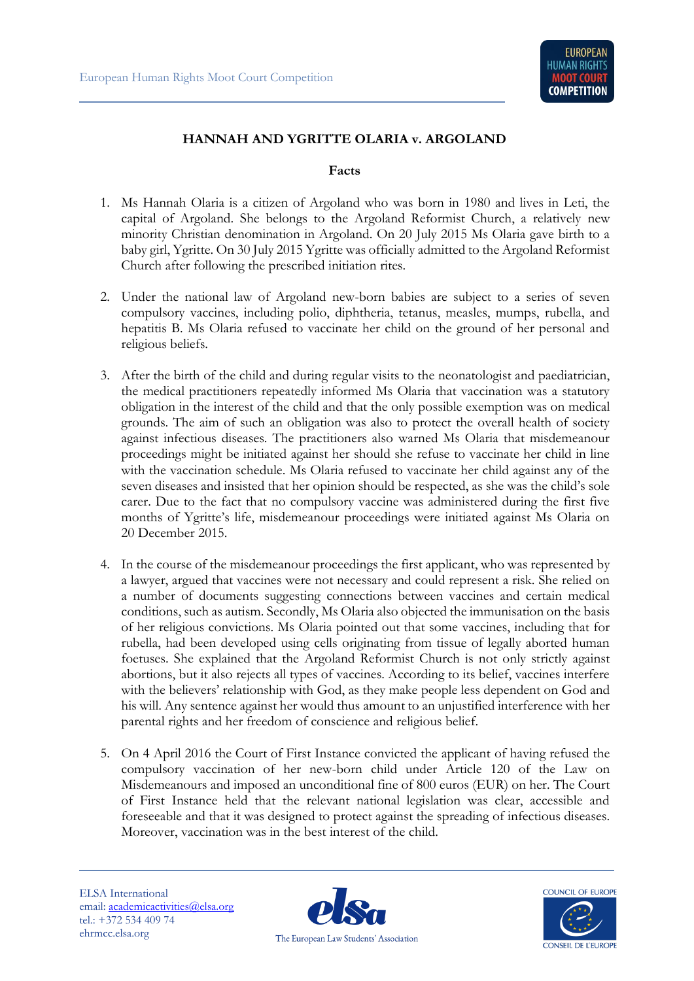## **HANNAH AND YGRITTE OLARIA v. ARGOLAND**

## **Facts**

- 1. Ms Hannah Olaria is a citizen of Argoland who was born in 1980 and lives in Leti, the capital of Argoland. She belongs to the Argoland Reformist Church, a relatively new minority Christian denomination in Argoland. On 20 July 2015 Ms Olaria gave birth to a baby girl, Ygritte. On 30 July 2015 Ygritte was officially admitted to the Argoland Reformist Church after following the prescribed initiation rites.
- 2. Under the national law of Argoland new-born babies are subject to a series of seven compulsory vaccines, including polio, diphtheria, tetanus, measles, mumps, rubella, and hepatitis B. Ms Olaria refused to vaccinate her child on the ground of her personal and religious beliefs.
- 3. After the birth of the child and during regular visits to the neonatologist and paediatrician, the medical practitioners repeatedly informed Ms Olaria that vaccination was a statutory obligation in the interest of the child and that the only possible exemption was on medical grounds. The aim of such an obligation was also to protect the overall health of society against infectious diseases. The practitioners also warned Ms Olaria that misdemeanour proceedings might be initiated against her should she refuse to vaccinate her child in line with the vaccination schedule. Ms Olaria refused to vaccinate her child against any of the seven diseases and insisted that her opinion should be respected, as she was the child's sole carer. Due to the fact that no compulsory vaccine was administered during the first five months of Ygritte's life, misdemeanour proceedings were initiated against Ms Olaria on 20 December 2015.
- 4. In the course of the misdemeanour proceedings the first applicant, who was represented by a lawyer, argued that vaccines were not necessary and could represent a risk. She relied on a number of documents suggesting connections between vaccines and certain medical conditions, such as autism. Secondly, Ms Olaria also objected the immunisation on the basis of her religious convictions. Ms Olaria pointed out that some vaccines, including that for rubella, had been developed using cells originating from tissue of legally aborted human foetuses. She explained that the Argoland Reformist Church is not only strictly against abortions, but it also rejects all types of vaccines. According to its belief, vaccines interfere with the believers' relationship with God, as they make people less dependent on God and his will. Any sentence against her would thus amount to an unjustified interference with her parental rights and her freedom of conscience and religious belief.
- 5. On 4 April 2016 the Court of First Instance convicted the applicant of having refused the compulsory vaccination of her new-born child under Article 120 of the Law on Misdemeanours and imposed an unconditional fine of 800 euros (EUR) on her. The Court of First Instance held that the relevant national legislation was clear, accessible and foreseeable and that it was designed to protect against the spreading of infectious diseases. Moreover, vaccination was in the best interest of the child.

ELSA International email: [academicactivities@elsa.org](mailto:academicactivities@elsa.org) tel.: +372 534 409 74 ehrmcc.elsa.org



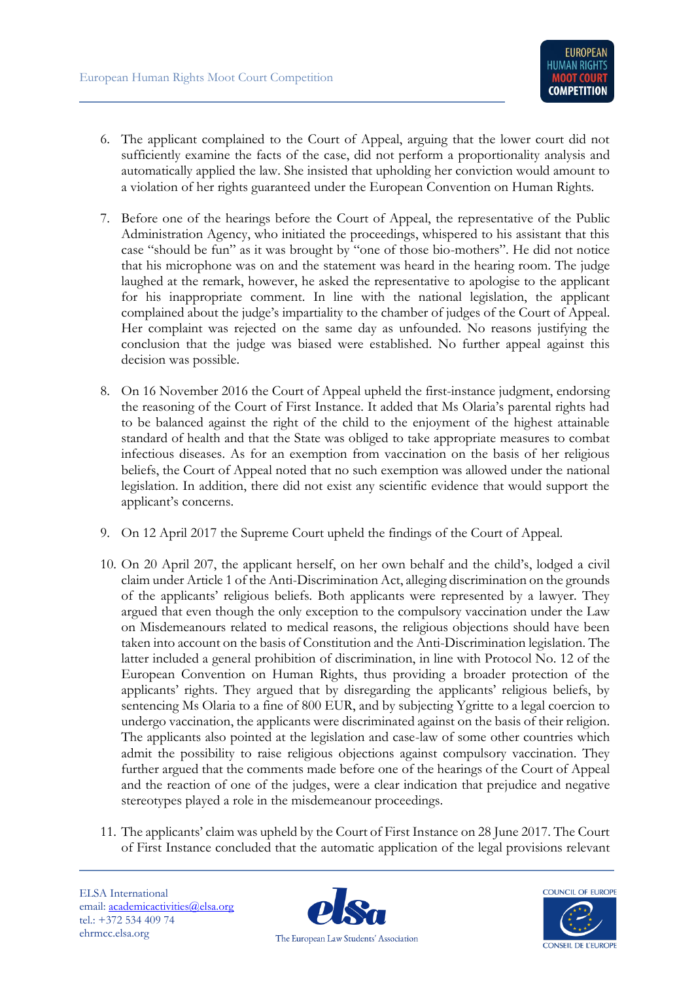- 6. The applicant complained to the Court of Appeal, arguing that the lower court did not sufficiently examine the facts of the case, did not perform a proportionality analysis and automatically applied the law. She insisted that upholding her conviction would amount to a violation of her rights guaranteed under the European Convention on Human Rights.
- 7. Before one of the hearings before the Court of Appeal, the representative of the Public Administration Agency, who initiated the proceedings, whispered to his assistant that this case "should be fun" as it was brought by "one of those bio-mothers". He did not notice that his microphone was on and the statement was heard in the hearing room. The judge laughed at the remark, however, he asked the representative to apologise to the applicant for his inappropriate comment. In line with the national legislation, the applicant complained about the judge's impartiality to the chamber of judges of the Court of Appeal. Her complaint was rejected on the same day as unfounded. No reasons justifying the conclusion that the judge was biased were established. No further appeal against this decision was possible.
- 8. On 16 November 2016 the Court of Appeal upheld the first-instance judgment, endorsing the reasoning of the Court of First Instance. It added that Ms Olaria's parental rights had to be balanced against the right of the child to the enjoyment of the highest attainable standard of health and that the State was obliged to take appropriate measures to combat infectious diseases. As for an exemption from vaccination on the basis of her religious beliefs, the Court of Appeal noted that no such exemption was allowed under the national legislation. In addition, there did not exist any scientific evidence that would support the applicant's concerns.
- 9. On 12 April 2017 the Supreme Court upheld the findings of the Court of Appeal.
- 10. On 20 April 207, the applicant herself, on her own behalf and the child's, lodged a civil claim under Article 1 of the Anti-Discrimination Act, alleging discrimination on the grounds of the applicants' religious beliefs. Both applicants were represented by a lawyer. They argued that even though the only exception to the compulsory vaccination under the Law on Misdemeanours related to medical reasons, the religious objections should have been taken into account on the basis of Constitution and the Anti-Discrimination legislation. The latter included a general prohibition of discrimination, in line with Protocol No. 12 of the European Convention on Human Rights, thus providing a broader protection of the applicants' rights. They argued that by disregarding the applicants' religious beliefs, by sentencing Ms Olaria to a fine of 800 EUR, and by subjecting Ygritte to a legal coercion to undergo vaccination, the applicants were discriminated against on the basis of their religion. The applicants also pointed at the legislation and case-law of some other countries which admit the possibility to raise religious objections against compulsory vaccination. They further argued that the comments made before one of the hearings of the Court of Appeal and the reaction of one of the judges, were a clear indication that prejudice and negative stereotypes played a role in the misdemeanour proceedings.
- 11. The applicants' claim was upheld by the Court of First Instance on 28 June 2017. The Court of First Instance concluded that the automatic application of the legal provisions relevant

ELSA International email: [academicactivities@elsa.org](mailto:academicactivities@elsa.org) tel.: +372 534 409 74 ehrmcc.elsa.org



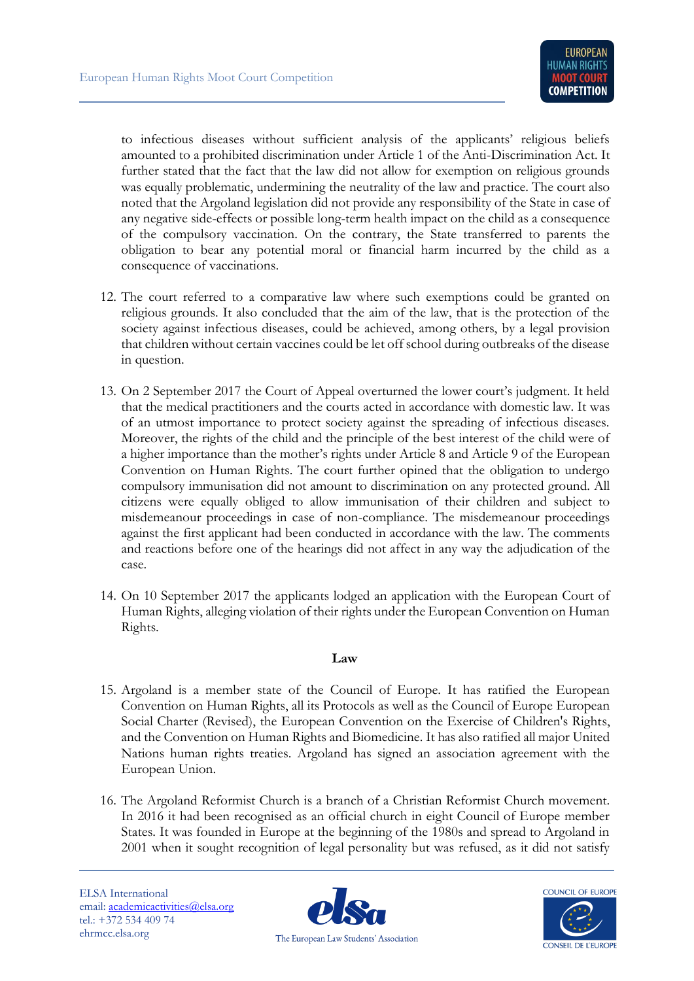to infectious diseases without sufficient analysis of the applicants' religious beliefs amounted to a prohibited discrimination under Article 1 of the Anti-Discrimination Act. It further stated that the fact that the law did not allow for exemption on religious grounds was equally problematic, undermining the neutrality of the law and practice. The court also noted that the Argoland legislation did not provide any responsibility of the State in case of any negative side-effects or possible long-term health impact on the child as a consequence of the compulsory vaccination. On the contrary, the State transferred to parents the obligation to bear any potential moral or financial harm incurred by the child as a consequence of vaccinations.

- 12. The court referred to a comparative law where such exemptions could be granted on religious grounds. It also concluded that the aim of the law, that is the protection of the society against infectious diseases, could be achieved, among others, by a legal provision that children without certain vaccines could be let off school during outbreaks of the disease in question.
- 13. On 2 September 2017 the Court of Appeal overturned the lower court's judgment. It held that the medical practitioners and the courts acted in accordance with domestic law. It was of an utmost importance to protect society against the spreading of infectious diseases. Moreover, the rights of the child and the principle of the best interest of the child were of a higher importance than the mother's rights under Article 8 and Article 9 of the European Convention on Human Rights. The court further opined that the obligation to undergo compulsory immunisation did not amount to discrimination on any protected ground. All citizens were equally obliged to allow immunisation of their children and subject to misdemeanour proceedings in case of non-compliance. The misdemeanour proceedings against the first applicant had been conducted in accordance with the law. The comments and reactions before one of the hearings did not affect in any way the adjudication of the case.
- 14. On 10 September 2017 the applicants lodged an application with the European Court of Human Rights, alleging violation of their rights under the European Convention on Human Rights.

## **Law**

- 15. Argoland is a member state of the Council of Europe. It has ratified the European Convention on Human Rights, all its Protocols as well as the Council of Europe European Social Charter (Revised), the European Convention on the Exercise of Children's Rights, and the Convention on Human Rights and Biomedicine. It has also ratified all major United Nations human rights treaties. Argoland has signed an association agreement with the European Union.
- 16. The Argoland Reformist Church is a branch of a Christian Reformist Church movement. In 2016 it had been recognised as an official church in eight Council of Europe member States. It was founded in Europe at the beginning of the 1980s and spread to Argoland in 2001 when it sought recognition of legal personality but was refused, as it did not satisfy



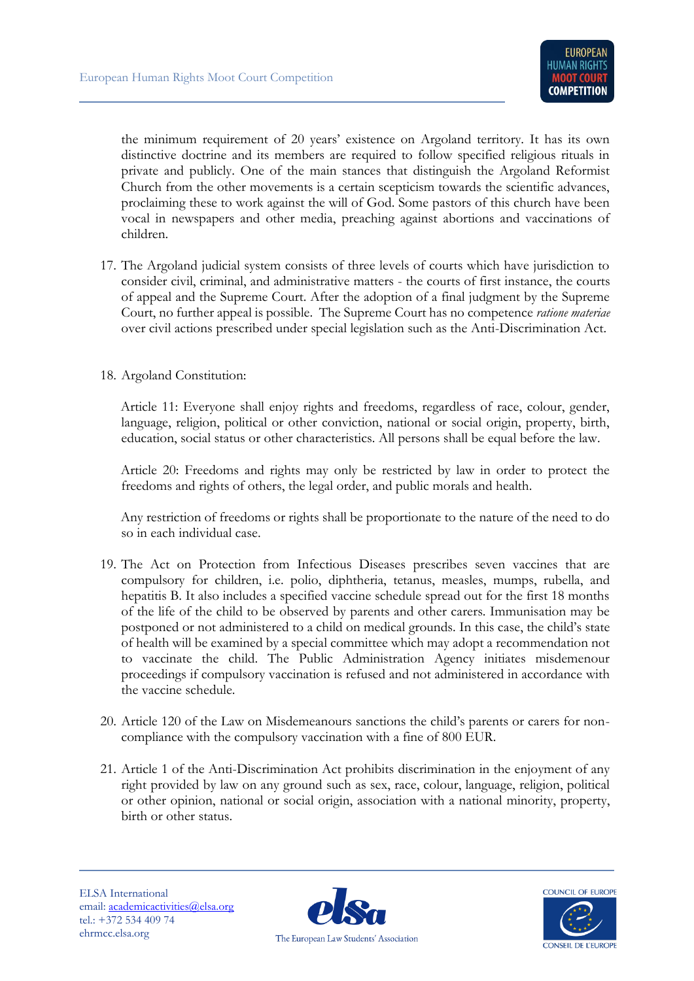the minimum requirement of 20 years' existence on Argoland territory. It has its own distinctive doctrine and its members are required to follow specified religious rituals in private and publicly. One of the main stances that distinguish the Argoland Reformist Church from the other movements is a certain scepticism towards the scientific advances, proclaiming these to work against the will of God. Some pastors of this church have been vocal in newspapers and other media, preaching against abortions and vaccinations of children.

17. The Argoland judicial system consists of three levels of courts which have jurisdiction to consider civil, criminal, and administrative matters - the courts of first instance, the courts of appeal and the Supreme Court. After the adoption of a final judgment by the Supreme Court, no further appeal is possible. The Supreme Court has no competence *ratione materiae* over civil actions prescribed under special legislation such as the Anti-Discrimination Act.

## 18. Argoland Constitution:

Article 11: Everyone shall enjoy rights and freedoms, regardless of race, colour, gender, language, religion, political or other conviction, national or social origin, property, birth, education, social status or other characteristics. All persons shall be equal before the law.

Article 20: Freedoms and rights may only be restricted by law in order to protect the freedoms and rights of others, the legal order, and public morals and health.

Any restriction of freedoms or rights shall be proportionate to the nature of the need to do so in each individual case.

- 19. The Act on Protection from Infectious Diseases prescribes seven vaccines that are compulsory for children, i.e. polio, diphtheria, tetanus, measles, mumps, rubella, and hepatitis B. It also includes a specified vaccine schedule spread out for the first 18 months of the life of the child to be observed by parents and other carers. Immunisation may be postponed or not administered to a child on medical grounds. In this case, the child's state of health will be examined by a special committee which may adopt a recommendation not to vaccinate the child. The Public Administration Agency initiates misdemenour proceedings if compulsory vaccination is refused and not administered in accordance with the vaccine schedule.
- 20. Article 120 of the Law on Misdemeanours sanctions the child's parents or carers for noncompliance with the compulsory vaccination with a fine of 800 EUR.
- 21. Article 1 of the Anti-Discrimination Act prohibits discrimination in the enjoyment of any right provided by law on any ground such as sex, race, colour, language, religion, political or other opinion, national or social origin, association with a national minority, property, birth or other status.